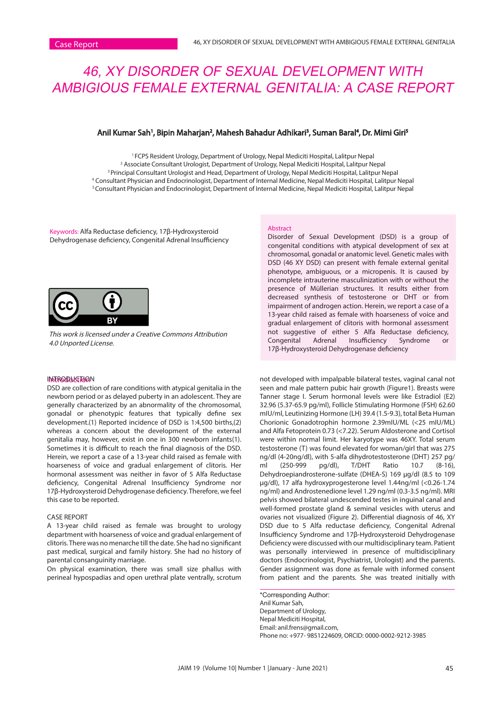# 46, XY DISORDER OF SEXUAL DEVELOPMENT WITH AMBIGIOUS FEMALE EXTERNAL GENITALIA: A CASE REPORT

# Anil Kumar Sah', Bipin Maharjan<sup>2</sup>, Mahesh Bahadur Adhikari<sup>3</sup>, Suman Baral<sup>4</sup>, Dr. Mimi Giri<sup>s</sup>

<sup>1</sup> FCPS Resident Urology, Department of Urology, Nepal Mediciti Hospital, Lalitpur Nepal 2 Associate Consultant Urologist, Department of Urology, Nepal Mediciti Hospital, Lalitpur Nepal <sup>3</sup> Principal Consultant Urologist and Head, Department of Urology, Nepal Mediciti Hospital, Lalitpur Nepal 4 Consultant Physician and Endocrinologist, Department of Internal Medicine, Nepal Mediciti Hospital, Lalitpur Nepal 5 Consultant Physician and Endocrinologist, Department of Internal Medicine, Nepal Mediciti Hospital, Lalitpur Nepal

Keywords: Alfa Reductase deficiency, 17β-Hydroxysteroid Dehydrogenase deficiency, Congenital Adrenal Insufficiency



This work is licensed under a Creative Commons Attribution 4.0 Unported License.

## I**ntroduction**

DSD are collection of rare conditions with atypical genitalia in the newborn period or as delayed puberty in an adolescent. They are generally characterized by an abnormality of the chromosomal, gonadal or phenotypic features that typically define sex development.(1) Reported incidence of DSD is 1:4,500 births,(2) whereas a concern about the development of the external genitalia may, however, exist in one in 300 newborn infants(1). Sometimes it is difficult to reach the final diagnosis of the DSD. Herein, we report a case of a 13-year child raised as female with hoarseness of voice and gradual enlargement of clitoris. Her hormonal assessment was neither in favor of 5 Alfa Reductase deficiency, Congenital Adrenal Insufficiency Syndrome nor 17β-Hydroxysteroid Dehydrogenase deficiency. Therefore, we feel this case to be reported.

## CASE REPORT

A 13-year child raised as female was brought to urology department with hoarseness of voice and gradual enlargement of clitoris. There was no menarche till the date. She had no significant past medical, surgical and family history. She had no history of parental consanguinity marriage.

On physical examination, there was small size phallus with perineal hypospadias and open urethral plate ventrally, scrotum

#### Abstract

Disorder of Sexual Development (DSD) is a group of congenital conditions with atypical development of sex at chromosomal, gonadal or anatomic level. Genetic males with DSD (46 XY DSD) can present with female external genital phenotype, ambiguous, or a micropenis. It is caused by incomplete intrauterine masculinization with or without the presence of Müllerian structures. It results either from decreased synthesis of testosterone or DHT or from impairment of androgen action. Herein, we report a case of a 13-year child raised as female with hoarseness of voice and gradual enlargement of clitoris with hormonal assessment not suggestive of either 5 Alfa Reductase deficiency, Insufficiency Syndrome or 17β-Hydroxysteroid Dehydrogenase deficiency

not developed with impalpable bilateral testes, vaginal canal not seen and male pattern pubic hair growth (Figure1). Breasts were Tanner stage I. Serum hormonal levels were like Estradiol (E2) 32.96 (5.37-65.9 pg/ml), Follicle Stimulating Hormone (FSH) 62.60 mIU/ml, Leutinizing Hormone (LH) 39.4 (1.5-9.3), total Beta Human Chorionic Gonadotrophin hormone 2.39mIU/ML (<25 mIU/ML) and Alfa Fetoprotein 0.73 (<7.22). Serum Aldosterone and Cortisol were within normal limit. Her karyotype was 46XY. Total serum testosterone (T) was found elevated for woman/girl that was 275 ng/dl (4-20ng/dl), with 5-alfa dihydrotestosterone (DHT) 257 pg/ ml (250-999 pg/dl), T/DHT Ratio 10.7 (8-16), Dehydroepiandrosterone-sulfate (DHEA-S) 169 µg/dl (8.5 to 109 µg/dl), 17 alfa hydroxyprogesterone level 1.44ng/ml (<0.26-1.74 ng/ml) and Androstenedione level 1.29 ng/ml (0.3-3.5 ng/ml). MRI pelvis showed bilateral undescended testes in inguinal canal and well-formed prostate gland & seminal vesicles with uterus and ovaries not visualized (Figure 2). Differential diagnosis of 46, XY DSD due to 5 Alfa reductase deficiency, Congenital Adrenal Insufficiency Syndrome and 17β-Hydroxysteroid Dehydrogenase Deficiency were discussed with our multidisciplinary team. Patient was personally interviewed in presence of multidisciplinary doctors (Endocrinologist, Psychiatrist, Urologist) and the parents. Gender assignment was done as female with informed consent from patient and the parents. She was treated initially with

\*Corresponding Author: Anil Kumar Sah, Department of Urology, Nepal Mediciti Hospital, Email: anil.frens@gmail.com, Phone no: +977- 9851224609, ORCID: 0000-0002-9212-3985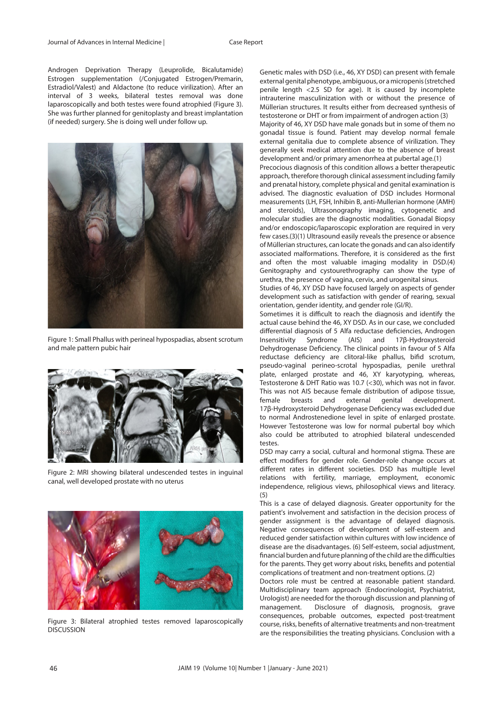Androgen Deprivation Therapy (Leuprolide, Bicalutamide) Estrogen supplementation (/Conjugated Estrogen/Premarin, Estradiol/Valest) and Aldactone (to reduce virilization). After an interval of 3 weeks, bilateral testes removal was done laparoscopically and both testes were found atrophied (Figure 3). She was further planned for genitoplasty and breast implantation (if needed) surgery. She is doing well under follow up.



Figure 1: Small Phallus with perineal hypospadias, absent scrotum and male pattern pubic hair



Figure 2: MRI showing bilateral undescended testes in inguinal canal, well developed prostate with no uterus



Figure 3: Bilateral atrophied testes removed laparoscopically DISCUSSION

Genetic males with DSD (i.e., 46, XY DSD) can present with female external genital phenotype, ambiguous, or a micropenis (stretched penile length <2.5 SD for age). It is caused by incomplete intrauterine masculinization with or without the presence of Müllerian structures. It results either from decreased synthesis of testosterone or DHT or from impairment of androgen action (3) Majority of 46, XY DSD have male gonads but in some of them no gonadal tissue is found. Patient may develop normal female external genitalia due to complete absence of virilization. They

generally seek medical attention due to the absence of breast

development and/or primary amenorrhea at pubertal age.(1) Precocious diagnosis of this condition allows a better therapeutic approach, therefore thorough clinical assessment including family and prenatal history, complete physical and genital examination is advised. The diagnostic evaluation of DSD includes Hormonal measurements (LH, FSH, Inhibin B, anti-Mullerian hormone (AMH) and steroids), Ultrasonography imaging, cytogenetic and molecular studies are the diagnostic modalities. Gonadal Biopsy and/or endoscopic/laparoscopic exploration are required in very few cases.(3)(1) Ultrasound easily reveals the presence or absence of Müllerian structures, can locate the gonads and can also identify associated malformations. Therefore, it is considered as the first and often the most valuable imaging modality in DSD.(4) Genitography and cystourethrography can show the type of urethra, the presence of vagina, cervix, and urogenital sinus.

Studies of 46, XY DSD have focused largely on aspects of gender development such as satisfaction with gender of rearing, sexual orientation, gender identity, and gender role (GI/R).

Sometimes it is difficult to reach the diagnosis and identify the actual cause behind the 46, XY DSD. As in our case, we concluded differential diagnosis of 5 Alfa reductase deficiencies, Androgen<br>Insensitivity Syndrome (AIS) and 17ß-Hydroxysteroid Insensitivity Syndrome (AIS) and 17β-Hydroxysteroid Dehydrogenase Deficiency. The clinical points in favour of 5 Alfa reductase deficiency are clitoral-like phallus, bifid scrotum, pseudo-vaginal perineo-scrotal hypospadias, penile urethral plate, enlarged prostate and 46, XY karyotyping, whereas, Testosterone & DHT Ratio was 10.7 (<30), which was not in favor. This was not AIS because female distribution of adipose tissue, female breasts and external genital development. 17β-Hydroxysteroid Dehydrogenase Deficiency was excluded due to normal Androstenedione level in spite of enlarged prostate. However Testosterone was low for normal pubertal boy which also could be attributed to atrophied bilateral undescended testes.

DSD may carry a social, cultural and hormonal stigma. These are effect modifiers for gender role. Gender-role change occurs at different rates in different societies. DSD has multiple level relations with fertility, marriage, employment, economic independence, religious views, philosophical views and literacy. (5)

This is a case of delayed diagnosis. Greater opportunity for the patient's involvement and satisfaction in the decision process of gender assignment is the advantage of delayed diagnosis. Negative consequences of development of self-esteem and reduced gender satisfaction within cultures with low incidence of disease are the disadvantages. (6) Self-esteem, social adjustment, financial burden and future planning of the child are the difficulties for the parents. They get worry about risks, benefits and potential complications of treatment and non-treatment options. (2)

Doctors role must be centred at reasonable patient standard. Multidisciplinary team approach (Endocrinologist, Psychiatrist, Urologist) are needed for the thorough discussion and planning of management. Disclosure of diagnosis, prognosis, grave consequences, probable outcomes, expected post-treatment course, risks, benefits of alternative treatments and non-treatment are the responsibilities the treating physicians. Conclusion with a